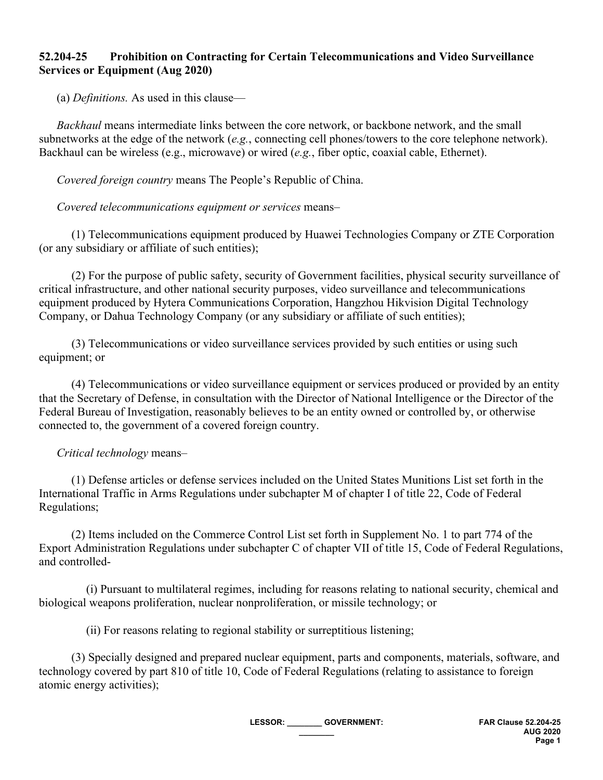## **52.204-25 Prohibition on Contracting for Certain Telecommunications and Video Surveillance Services or Equipment (Aug 2020)**

(a) *Definitions.* As used in this clause—

 *Backhaul* means intermediate links between the core network, or backbone network, and the small subnetworks at the edge of the network (*e.g.*, connecting cell phones/towers to the core telephone network). Backhaul can be wireless (e.g., microwave) or wired (*e.g.*, fiber optic, coaxial cable, Ethernet).

*Covered foreign country* means The People's Republic of China.

*Covered telecommunications equipment or services* means–

 (1) Telecommunications equipment produced by Huawei Technologies Company or ZTE Corporation (or any subsidiary or affiliate of such entities);

 (2) For the purpose of public safety, security of Government facilities, physical security surveillance of critical infrastructure, and other national security purposes, video surveillance and telecommunications equipment produced by Hytera Communications Corporation, Hangzhou Hikvision Digital Technology Company, or Dahua Technology Company (or any subsidiary or affiliate of such entities);

 (3) Telecommunications or video surveillance services provided by such entities or using such equipment; or

 (4) Telecommunications or video surveillance equipment or services produced or provided by an entity that the Secretary of Defense, in consultation with the Director of National Intelligence or the Director of the Federal Bureau of Investigation, reasonably believes to be an entity owned or controlled by, or otherwise connected to, the government of a covered foreign country.

## *Critical technology* means–

 (1) Defense articles or defense services included on the United States Munitions List set forth in the International Traffic in Arms Regulations under subchapter M of chapter I of title 22, Code of Federal Regulations;

 (2) Items included on the Commerce Control List set forth in Supplement No. 1 to part 774 of the Export Administration Regulations under subchapter C of chapter VII of title 15, Code of Federal Regulations, and controlled-

 (i) Pursuant to multilateral regimes, including for reasons relating to national security, chemical and biological weapons proliferation, nuclear nonproliferation, or missile technology; or

(ii) For reasons relating to regional stability or surreptitious listening;

 (3) Specially designed and prepared nuclear equipment, parts and components, materials, software, and technology covered by part 810 of title 10, Code of Federal Regulations (relating to assistance to foreign atomic energy activities);

> **LESSOR: \_\_\_\_\_\_\_\_ GOVERNMENT: \_\_\_\_\_\_\_\_**

**FAR Clause 52.204-25 AUG 2020 Page 1**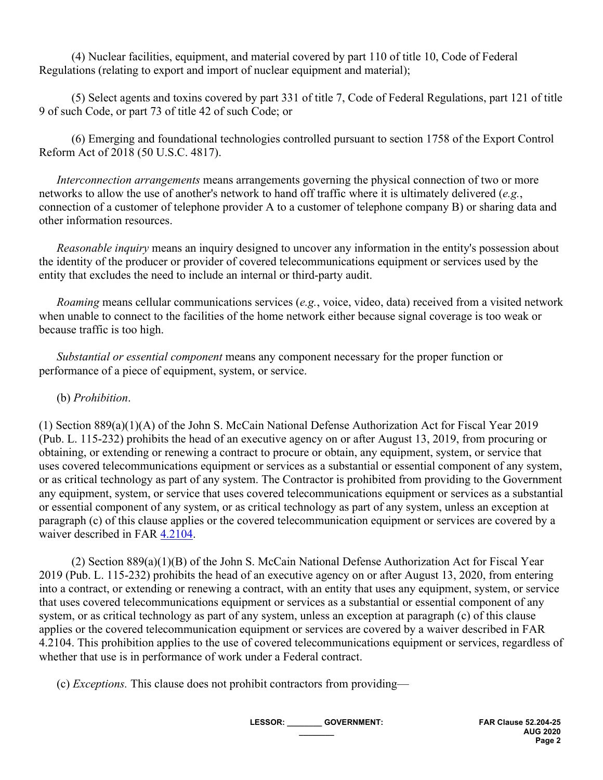(4) Nuclear facilities, equipment, and material covered by part 110 of title 10, Code of Federal Regulations (relating to export and import of nuclear equipment and material);

 (5) Select agents and toxins covered by part 331 of title 7, Code of Federal Regulations, part 121 of title 9 of such Code, or part 73 of title 42 of such Code; or

 (6) Emerging and foundational technologies controlled pursuant to section 1758 of the Export Control Reform Act of 2018 (50 U.S.C. 4817).

 *Interconnection arrangements* means arrangements governing the physical connection of two or more networks to allow the use of another's network to hand off traffic where it is ultimately delivered (*e.g.*, connection of a customer of telephone provider A to a customer of telephone company B) or sharing data and other information resources.

 *Reasonable inquiry* means an inquiry designed to uncover any information in the entity's possession about the identity of the producer or provider of covered telecommunications equipment or services used by the entity that excludes the need to include an internal or third-party audit.

 *Roaming* means cellular communications services (*e.g.*, voice, video, data) received from a visited network when unable to connect to the facilities of the home network either because signal coverage is too weak or because traffic is too high.

 *Substantial or essential component* means any component necessary for the proper function or performance of a piece of equipment, system, or service.

## (b) *Prohibition*.

(1) Section 889(a)(1)(A) of the John S. McCain National Defense Authorization Act for Fiscal Year 2019 (Pub. L. 115-232) prohibits the head of an executive agency on or after August 13, 2019, from procuring or obtaining, or extending or renewing a contract to procure or obtain, any equipment, system, or service that uses covered telecommunications equipment or services as a substantial or essential component of any system, or as critical technology as part of any system. The Contractor is prohibited from providing to the Government any equipment, system, or service that uses covered telecommunications equipment or services as a substantial or essential component of any system, or as critical technology as part of any system, unless an exception at paragraph (c) of this clause applies or the covered telecommunication equipment or services are covered by a waiver described in FAR [4.2104.](https://www.acquisition.gov/content/part-4-administrative-and-information-matters#id1989GI040ZO)

 (2) Section 889(a)(1)(B) of the John S. McCain National Defense Authorization Act for Fiscal Year 2019 (Pub. L. 115-232) prohibits the head of an executive agency on or after August 13, 2020, from entering into a contract, or extending or renewing a contract, with an entity that uses any equipment, system, or service that uses covered telecommunications equipment or services as a substantial or essential component of any system, or as critical technology as part of any system, unless an exception at paragraph (c) of this clause applies or the covered telecommunication equipment or services are covered by a waiver described in FAR 4.2104. This prohibition applies to the use of covered telecommunications equipment or services, regardless of whether that use is in performance of work under a Federal contract.

(c) *Exceptions.* This clause does not prohibit contractors from providing—

**LESSOR: \_\_\_\_\_\_\_\_ GOVERNMENT: \_\_\_\_\_\_\_\_**